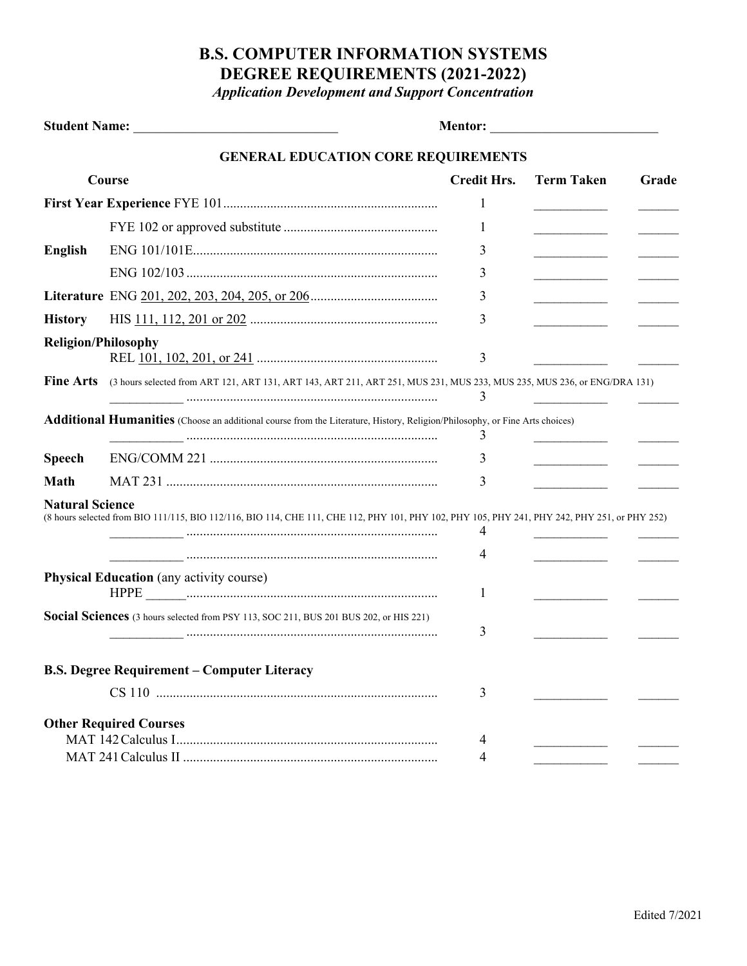## **B.S. COMPUTER INFORMATION SYSTEMS DEGREE REQUIREMENTS (2021-2022)**

*Application Development and Support Concentration*

|                                                 | <b>GENERAL EDUCATION CORE REQUIREMENTS</b>                                                                                                    |                    |                                                 |       |
|-------------------------------------------------|-----------------------------------------------------------------------------------------------------------------------------------------------|--------------------|-------------------------------------------------|-------|
| Course                                          |                                                                                                                                               | <b>Credit Hrs.</b> | <b>Term Taken</b>                               | Grade |
|                                                 |                                                                                                                                               |                    |                                                 |       |
|                                                 |                                                                                                                                               | 1                  | $\overline{\phantom{a}}$                        |       |
| <b>English</b>                                  |                                                                                                                                               | 3                  | ______________________                          |       |
|                                                 |                                                                                                                                               | 3                  |                                                 |       |
|                                                 |                                                                                                                                               | 3                  | the company of the company of                   |       |
| <b>History</b>                                  |                                                                                                                                               | 3                  | <u> 1999 - Johann Barnett, fransk politiker</u> |       |
| <b>Religion/Philosophy</b>                      |                                                                                                                                               | 3                  |                                                 |       |
| <b>Fine Arts</b>                                | (3 hours selected from ART 121, ART 131, ART 143, ART 211, ART 251, MUS 231, MUS 233, MUS 235, MUS 236, or ENG/DRA 131)                       | 3                  |                                                 |       |
|                                                 | Additional Humanities (Choose an additional course from the Literature, History, Religion/Philosophy, or Fine Arts choices)                   | 3                  |                                                 |       |
| <b>Speech</b>                                   |                                                                                                                                               | 3                  |                                                 |       |
| <b>Math</b>                                     |                                                                                                                                               | 3                  |                                                 |       |
| <b>Natural Science</b>                          | (8 hours selected from BIO 111/115, BIO 112/116, BIO 114, CHE 111, CHE 112, PHY 101, PHY 102, PHY 105, PHY 241, PHY 242, PHY 251, or PHY 252) | 4<br>4             |                                                 |       |
| <b>Physical Education</b> (any activity course) |                                                                                                                                               | 1                  |                                                 |       |
|                                                 | Social Sciences (3 hours selected from PSY 113, SOC 211, BUS 201 BUS 202, or HIS 221)                                                         | 3                  |                                                 |       |
|                                                 | <b>B.S. Degree Requirement - Computer Literacy</b>                                                                                            |                    |                                                 |       |
|                                                 |                                                                                                                                               | 3                  |                                                 |       |
| <b>Other Required Courses</b>                   |                                                                                                                                               | 4<br>4             |                                                 |       |